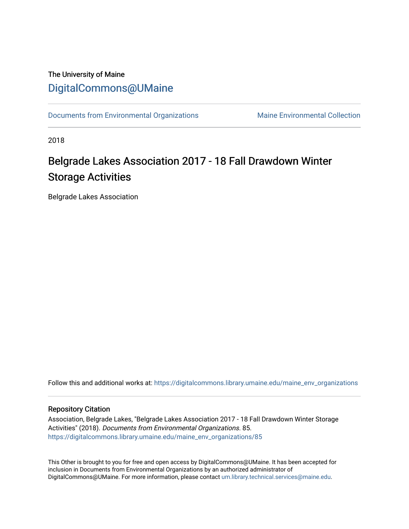## The University of Maine [DigitalCommons@UMaine](https://digitalcommons.library.umaine.edu/)

[Documents from Environmental Organizations](https://digitalcommons.library.umaine.edu/maine_env_organizations) Maine Environmental Collection

2018

## Belgrade Lakes Association 2017 - 18 Fall Drawdown Winter Storage Activities

Belgrade Lakes Association

Follow this and additional works at: [https://digitalcommons.library.umaine.edu/maine\\_env\\_organizations](https://digitalcommons.library.umaine.edu/maine_env_organizations?utm_source=digitalcommons.library.umaine.edu%2Fmaine_env_organizations%2F85&utm_medium=PDF&utm_campaign=PDFCoverPages)

## Repository Citation

Association, Belgrade Lakes, "Belgrade Lakes Association 2017 - 18 Fall Drawdown Winter Storage Activities" (2018). Documents from Environmental Organizations. 85. [https://digitalcommons.library.umaine.edu/maine\\_env\\_organizations/85](https://digitalcommons.library.umaine.edu/maine_env_organizations/85?utm_source=digitalcommons.library.umaine.edu%2Fmaine_env_organizations%2F85&utm_medium=PDF&utm_campaign=PDFCoverPages) 

This Other is brought to you for free and open access by DigitalCommons@UMaine. It has been accepted for inclusion in Documents from Environmental Organizations by an authorized administrator of DigitalCommons@UMaine. For more information, please contact [um.library.technical.services@maine.edu](mailto:um.library.technical.services@maine.edu).